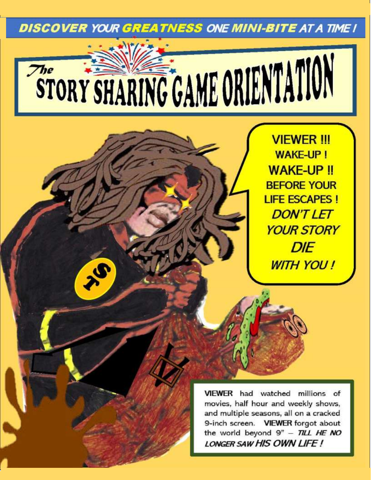**DISCOVER YOUR GREATNESS ONE MINI-BITE AT A TIME I** 

# STORY SHARING GAME ORIENTATION  $\mathcal{T}_{he}$

S

**VIEWER !!! WAKE-UP! WAKE-UP !! BEFORE YOUR LIFE ESCAPES! DON'T LET YOUR STORY DIE WITH YOU!** 

VIEWER had watched millions of movies, half hour and weekly shows. and multiple seasons, all on a cracked 9-inch screen. VIEWER forgot about the world beyond  $9" - TILL HE NO$ LONGER SAW HIS OWN LIFE!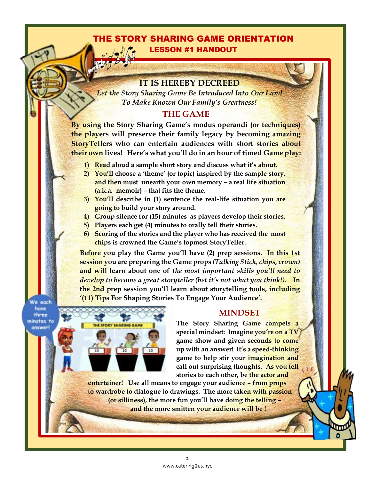## THE STORY SHARING GAME ORIENTATION LESSON #1 HANDOUT

#### **IT IS HEREBY DECREED**

*Let the Story Sharing Game Be Introduced Into Our Land To Make Known Our Family's Greatness!*

## **THE GAME**

**By using the Story Sharing Game's modus operandi (or techniques) the players will preserve their family legacy by becoming amazing StoryTellers who can entertain audiences with short stories about their own lives! Here's what you'll do in an hour of timed Game play:**

- **1) Read aloud a sample short story and discuss what it's about.**
- **2) You'll choose a 'theme' (or topic) inspired by the sample story, and then must unearth your own memory – a real life situation (a.k.a. memoir) – that fits the theme.**
- **3) You'll describe in (1) sentence the real-life situation you are going to build your story around.**
- **4) Group silence for (15) minutes as players develop their stories.**
- **5) Players each get (4) minutes to orally tell their stories.**
- **6) Scoring of the stories and the player who has received the most chips is crowned the Game's topmost StoryTeller.**

**Before you play the Game you'll have (2) prep sessions. In this 1st session you are preparing the Game props** *(Talking Stick, chips, crown)* **and will learn about one of** *the most important skills you'll need to develop to become a great storyteller (bet it's not what you think!)***. In the 2nd prep session you'll learn about storytelling tools, including '(11) Tips For Shaping Stories To Engage Your Audience'.** 

Ne each have three minutes to answer

l

ļ



#### **MINDSET**

**The Story Sharing Game compels a special mindset: Imagine you're on a TV game show and given seconds to come up with an answer! It's a speed-thinking game to help stir your imagination and call out surprising thoughts. As you tell stories to each other, be the actor and**

 $\vert$ 

**entertainer! Use all means to engage your audience – from props to wardrobe to dialogue to drawings. The more taken with passion (or silliness), the more fun you'll have doing the telling – and the more smitten your audience will be !**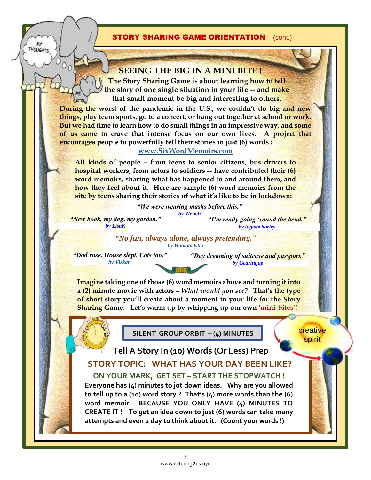#### **STORY SHARING GAME ORIENTATION** (cont.)

#### **SEEING THE BIG IN A MINI BITE !**

**The Story Sharing Game is about learning how to tell the story of one single situation in your life -- and make that small moment be big and interesting to others.**

**During the worst of the pandemic in the U.S., we couldn't do big and new things, play team sports, go to a concert, or hang out together at school or work. But we had time to learn how to do small things in an impressive way***,* **and some of us came to crave that intense focus on our own lives. A project that encourages people to powerfully tell their stories in just (6) words :** 

#### **[www.SixWordMemoirs.com](http://www.sixwordmemoirs.com/)**

**All kinds of people – from teens to senior citizens, bus drivers to hospital workers, from actors to soldiers -- have contributed their (6) word memoirs, sharing what has happened to and around them, and how they feel about it. Here are sample (6) word memoirs from the site by teens sharing their stories of what it's like to be in lockdown:** 

> *"We were wearing masks before this." by [Wench](https://www.sixwordmemoirs.com/profile/?uid=23814)*

*"New book, my dog, my garden." by [LisaK](https://www.sixwordmemoirs.com/profile/?uid=17268)*

ļ

**THOUGHTS** 

**MY** 

*"I'm really going 'round the bend." by [tagishcharley](https://www.sixwordmemoirs.com/profile/?uid=159803)*

*"No fun, always alone, always [pretending."](https://www.sixwordmemoirs.com/profile/?uid=280058No%20fun,%20always%20alone,%20always%20pretending.%20BY%20Homolady05) by Homolady05*

*"Dad rose. House slept. Cats too." by [Viskar](https://www.sixwordmemoirs.com/profile/?uid=277467)*

*["Day dreaming of suitcas](https://www.sixwordmemoirs.com/profile/?uid=280058No%20fun,%20always%20alone,%20always%20pretending.%20BY%20Homolady05)e and passport.["](https://www.sixwordmemoirs.com/story/?did=1253562) by [Gearingup](https://www.sixwordmemoirs.com/profile/?uid=277147)*

**Imagine taking one of those (6) word memoirs above and turning it into a (2) minute movie with actors –** *What would you see?* **That's the type of short story you'll create about a moment in your life for the Story Sharing Game. Let's warm up by whipping up our own 'mini-bites'!** 

**SILENT GROUP ORBIT – (4) MINUTES**

**creative** spirit

**Tell A Story In (10) Words (Or Less) Prep STORY TOPIC: WHAT HAS YOUR DAY BEEN LIKE?**

**ON YOUR MARK, GET SET – START THE STOPWATCH ! Everyone has (4) minutes to jot down ideas. Why are you allowed to tell up to a (10) word story ? That's (4) more words than the (6) word memoir. BECAUSE YOU ONLY HAVE (4) MINUTES TO CREATE IT ! To get an idea down to just (6) words can take many attempts and even a day to think about it. (Count your words !)**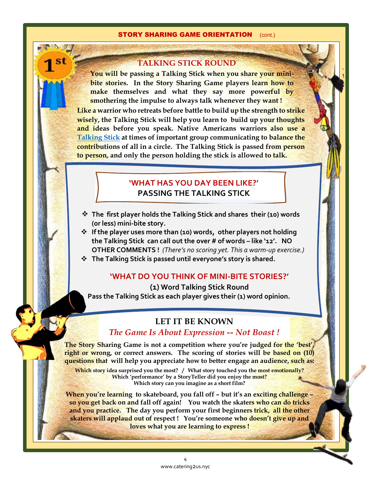#### **STORY SHARING GAME ORIENTATION** (cont.)

#### **TALKING STICK ROUND**

**You will be passing a Talking Stick when you share your minibite stories. In the Story Sharing Game players learn how to make themselves and what they say more powerful by smothering the impulse to always talk whenever they want ! Like a warrior who retreats before battle to build up the strength to strike wisely, the Talking Stick will help you learn to build up your thoughts and ideas before you speak. Native Americans warriors also use a**

**[Talking Stick](https://www.stage2planning.com/blog/bid/62449/5-good-reasons-to-use-a-talking-stick) at times of important group communicating to balance the contributions of all in a circle. The Talking Stick is passed from person to person, and only the person holding the stick is allowed to talk.** 

# **TALKING STICK CIRLCE – OPEN DISCUSSION 'WHAT HAS YOUR DAY BEEN LIKE?' 'WHAT HAS YOU DAY BEEN LIKE?'** *Use one of the Talking Sticks - okay if decorations are not finished* **PASSING THE TALKING STICK PASSING THE TALKING STICK**

- **The first player holds the Talking Stick and shares their (10) words (or less) mini-bite story.**
- **If the player uses more than (10) words, other players not holding the Talking Stick can call out the over # of words – like '12'. NO OTHER COMMENTS !** *(There's no scoring yet. This a warm-up exercise.)*
- **The Talking Stick is passed until everyone's story is shared.**

#### **'WHAT DO YOU THINK OF MINI-BITE STORIES?'**

**(1) Word Talking Stick Round Pass the Talking Stick as each player gives their (1) word opinion.**

#### **LET IT BE KNOWN**

#### *The Game Is About Expression -- Not Boast !*

**The Story Sharing Game is not a competition where you're judged for the 'best', right or wrong, or correct answers. The scoring of stories will be based on (10) questions that will help you appreciate how to better engage an audience, such as:**

**Which story idea surprised you the most? / What story touched you the most emotionally? Which 'performance' by a StoryTeller did you enjoy the most? Which story can you imagine as a short film?**

**When you're learning to skateboard, you fall off – but it's an exciting challenge – so you get back on and fall off again! You watch the skaters who can do tricks and you practice. The day you perform your first beginners trick, all the other skaters will applaud out of respect ! You're someone who doesn't give up and loves what you are learning to express !**